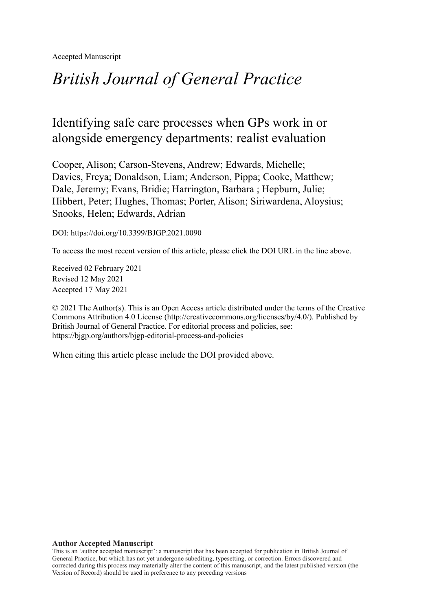Accepted Manuscript

# *British Journal of General Practice*

## Identifying safe care processes when GPs work in or alongside emergency departments: realist evaluation

Cooper, Alison; Carson-Stevens, Andrew; Edwards, Michelle; Davies, Freya; Donaldson, Liam; Anderson, Pippa; Cooke, Matthew; Dale, Jeremy; Evans, Bridie; Harrington, Barbara ; Hepburn, Julie; Hibbert, Peter; Hughes, Thomas; Porter, Alison; Siriwardena, Aloysius; Snooks, Helen; Edwards, Adrian

DOI: https://doi.org/10.3399/BJGP.2021.0090

To access the most recent version of this article, please click the DOI URL in the line above.

Received 02 February 2021 Revised 12 May 2021 Accepted 17 May 2021

© 2021 The Author(s). This is an Open Access article distributed under the terms of the Creative Commons Attribution 4.0 License (http://creativecommons.org/licenses/by/4.0/). Published by British Journal of General Practice. For editorial process and policies, see: https://bjgp.org/authors/bjgp-editorial-process-and-policies

When citing this article please include the DOI provided above.

#### **Author Accepted Manuscript**

This is an 'author accepted manuscript': a manuscript that has been accepted for publication in British Journal of General Practice, but which has not yet undergone subediting, typesetting, or correction. Errors discovered and corrected during this process may materially alter the content of this manuscript, and the latest published version (the Version of Record) should be used in preference to any preceding versions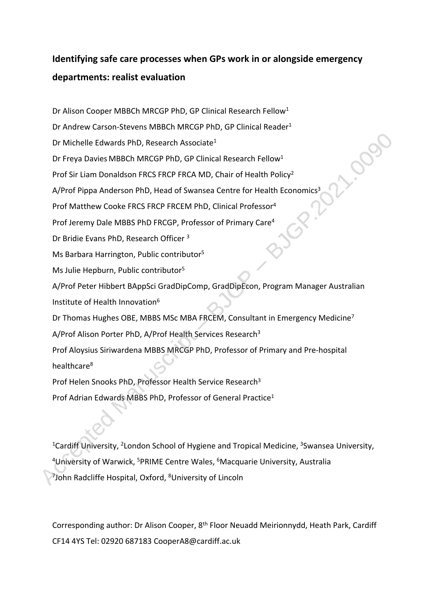## **Identifying safe care processes when GPs work in or alongside emergency departments: realist evaluation**

Dr Alison Cooper MBBCh MRCGP PhD, GP Clinical Research Fellow<sup>1</sup> Dr Andrew Carson-Stevens MBBCh MRCGP PhD, GP Clinical Reader<sup>1</sup> Dr Michelle Edwards PhD, Research Associate<sup>1</sup> Dr Freya Davies MBBCh MRCGP PhD, GP Clinical Research Fellow<sup>1</sup> Prof Sir Liam Donaldson FRCS FRCP FRCA MD, Chair of Health Policy<sup>2</sup> A/Prof Pippa Anderson PhD, Head of Swansea Centre for Health Economics<sup>3</sup> Prof Matthew Cooke FRCS FRCP FRCEM PhD, Clinical Professor<sup>4</sup> Prof Jeremy Dale MBBS PhD FRCGP, Professor of Primary Care<sup>4</sup> Dr Bridie Evans PhD, Research Officer <sup>3</sup> Ms Barbara Harrington, Public contributor<sup>5</sup> Ms Julie Hepburn, Public contributor<sup>5</sup> A/Prof Peter Hibbert BAppSci GradDipComp, GradDipEcon, Program Manager Australian Institute of Health Innovation<sup>6</sup> Dr Thomas Hughes OBE, MBBS MSc MBA FRCEM, Consultant in Emergency Medicine<sup>7</sup> A/Prof Alison Porter PhD, A/Prof Health Services Research<sup>3</sup> Prof Aloysius Siriwardena MBBS MRCGP PhD, Professor of Primary and Pre-hospital healthcare<sup>8</sup> Prof Helen Snooks PhD, Professor Health Service Research<sup>3</sup> Prof Adrian Edwards MBBS PhD, Professor of General Practice<sup>1</sup>

<sup>1</sup>Cardiff University, <sup>2</sup>London School of Hygiene and Tropical Medicine, <sup>3</sup>Swansea University, <sup>4</sup>University of Warwick, <sup>5</sup>PRIME Centre Wales, <sup>6</sup>Macquarie University, Australia <sup>7</sup>John Radcliffe Hospital, Oxford, <sup>8</sup>University of Lincoln

Corresponding author: Dr Alison Cooper, 8th Floor Neuadd Meirionnydd, Heath Park, Cardiff CF14 4YS Tel: 02920 687183 CooperA8@cardiff.ac.uk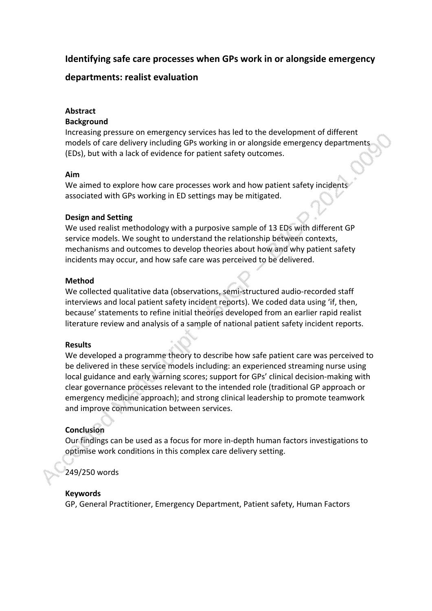## **Identifying safe care processes when GPs work in or alongside emergency**

## **departments: realist evaluation**

## **Abstract**

## **Background**

Increasing pressure on emergency services has led to the development of different models of care delivery including GPs working in or alongside emergency departments (EDs), but with a lack of evidence for patient safety outcomes.

## **Aim**

We aimed to explore how care processes work and how patient safety incidents associated with GPs working in ED settings may be mitigated.

## **Design and Setting**

We used realist methodology with a purposive sample of 13 EDs with different GP service models. We sought to understand the relationship between contexts, mechanisms and outcomes to develop theories about how and why patient safety incidents may occur, and how safe care was perceived to be delivered.

## **Method**

We collected qualitative data (observations, semi-structured audio-recorded staff interviews and local patient safety incident reports). We coded data using 'if, then, because' statements to refine initial theories developed from an earlier rapid realist literature review and analysis of a sample of national patient safety incident reports.

## **Results**

We developed a programme theory to describe how safe patient care was perceived to be delivered in these service models including: an experienced streaming nurse using local guidance and early warning scores; support for GPs' clinical decision-making with clear governance processes relevant to the intended role (traditional GP approach or emergency medicine approach); and strong clinical leadership to promote teamwork and improve communication between services.

## **Conclusion**

Our findings can be used as a focus for more in-depth human factors investigations to optimise work conditions in this complex care delivery setting.

## 249/250 words

## **Keywords**

GP, General Practitioner, Emergency Department, Patient safety, Human Factors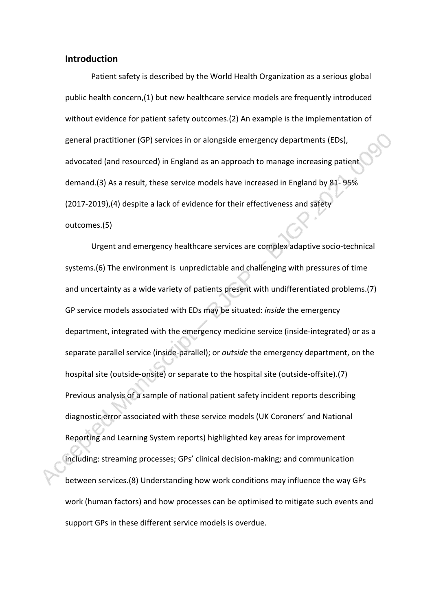## **Introduction**

Patient safety is described by the World Health Organization as a serious global public health concern,(1) but new healthcare service models are frequently introduced without evidence for patient safety outcomes.(2) An example is the implementation of general practitioner (GP) services in or alongside emergency departments (EDs), advocated (and resourced) in England as an approach to manage increasing patient demand.(3) As a result, these service models have increased in England by 81- 95% (2017-2019),(4) despite a lack of evidence for their effectiveness and safety outcomes.(5)

Urgent and emergency healthcare services are complex adaptive socio-technical systems.(6) The environment is unpredictable and challenging with pressures of time and uncertainty as a wide variety of patients present with undifferentiated problems.(7) GP service models associated with EDs may be situated: *inside* the emergency department, integrated with the emergency medicine service (inside-integrated) or as a separate parallel service (inside-parallel); or *outside* the emergency department, on the hospital site (outside-onsite) or separate to the hospital site (outside-offsite).(7) Previous analysis of a sample of national patient safety incident reports describing diagnostic error associated with these service models (UK Coroners' and National Reporting and Learning System reports) highlighted key areas for improvement including: streaming processes; GPs' clinical decision-making; and communication between services.(8) Understanding how work conditions may influence the way GPs work (human factors) and how processes can be optimised to mitigate such events and support GPs in these different service models is overdue.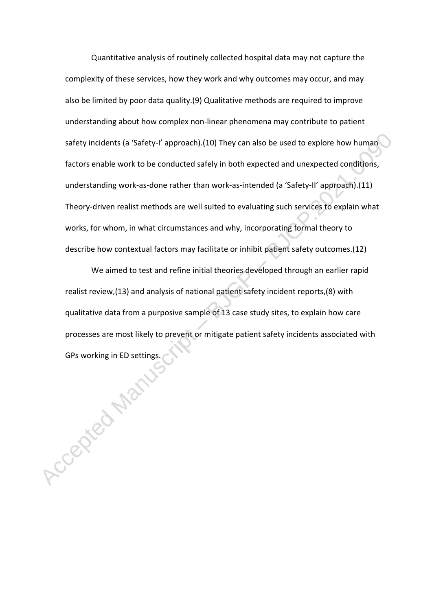Quantitative analysis of routinely collected hospital data may not capture the complexity of these services, how they work and why outcomes may occur, and may also be limited by poor data quality.(9) Qualitative methods are required to improve understanding about how complex non-linear phenomena may contribute to patient safety incidents (a 'Safety-I' approach).(10) They can also be used to explore how human factors enable work to be conducted safely in both expected and unexpected conditions, understanding work-as-done rather than work-as-intended (a 'Safety-II' approach).(11) Theory-driven realist methods are well suited to evaluating such services to explain what works, for whom, in what circumstances and why, incorporating formal theory to describe how contextual factors may facilitate or inhibit patient safety outcomes.(12)

We aimed to test and refine initial theories developed through an earlier rapid realist review,(13) and analysis of national patient safety incident reports,(8) with qualitative data from a purposive sample of 13 case study sites, to explain how care processes are most likely to prevent or mitigate patient safety incidents associated with Grand in Ed strategy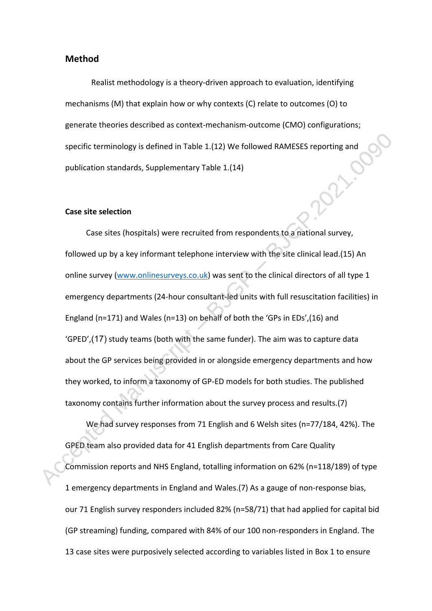#### **Method**

Realist methodology is a theory-driven approach to evaluation, identifying mechanisms (M) that explain how or why contexts (C) relate to outcomes (O) to generate theories described as context-mechanism-outcome (CMO) configurations; specific terminology is defined in Table 1.(12) We followed RAMESES reporting and<br>publication standards, Supplementary Table 1.(14) publication standards, Supplementary Table 1.(14)

#### **Case site selection**

Case sites (hospitals) were recruited from respondents to a national survey, followed up by a key informant telephone interview with the site clinical lead.(15) An online survey [\(www.onlinesurveys.co.uk](http://www.onlinesurveys.co.uk/)) was sent to the clinical directors of all type 1 emergency departments (24-hour consultant-led units with full resuscitation facilities) in England (n=171) and Wales (n=13) on behalf of both the 'GPs in EDs',(16) and 'GPED',(17) study teams (both with the same funder). The aim was to capture data about the GP services being provided in or alongside emergency departments and how they worked, to inform a taxonomy of GP-ED models for both studies. The published taxonomy contains further information about the survey process and results.(7)

We had survey responses from 71 English and 6 Welsh sites (n=77/184, 42%). The GPED team also provided data for 41 English departments from Care Quality Commission reports and NHS England, totalling information on 62% (n=118/189) of type 1 emergency departments in England and Wales.(7) As a gauge of non-response bias, our 71 English survey responders included 82% (n=58/71) that had applied for capital bid (GP streaming) funding, compared with 84% of our 100 non-responders in England. The 13 case sites were purposively selected according to variables listed in Box 1 to ensure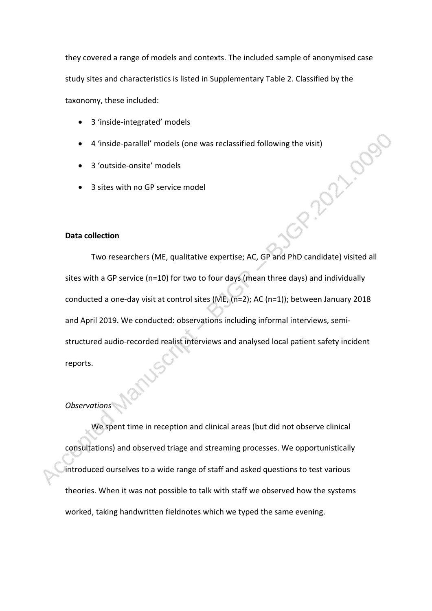they covered a range of models and contexts. The included sample of anonymised case study sites and characteristics is listed in Supplementary Table 2. Classified by the taxonomy, these included:

- 3 'inside-integrated' models
- 4 'inside-parallel' models (one was reclassified following the visit)<br>3 'outside-onsite' models<br>3 sites with no GP service model<br>pllection
- 3 'outside-onsite' models
- 3 sites with no GP service model

## **Data collection**

Two researchers (ME, qualitative expertise; AC, GP and PhD candidate) visited all sites with a GP service (n=10) for two to four days (mean three days) and individually conducted a one-day visit at control sites (ME, (n=2); AC (n=1)); between January 2018 and April 2019. We conducted: observations including informal interviews, semistructured audio-recorded realist interviews and analysed local patient safety incident reports.

#### *Observations*

We spent time in reception and clinical areas (but did not observe clinical consultations) and observed triage and streaming processes. We opportunistically introduced ourselves to a wide range of staff and asked questions to test various theories. When it was not possible to talk with staff we observed how the systems worked, taking handwritten fieldnotes which we typed the same evening.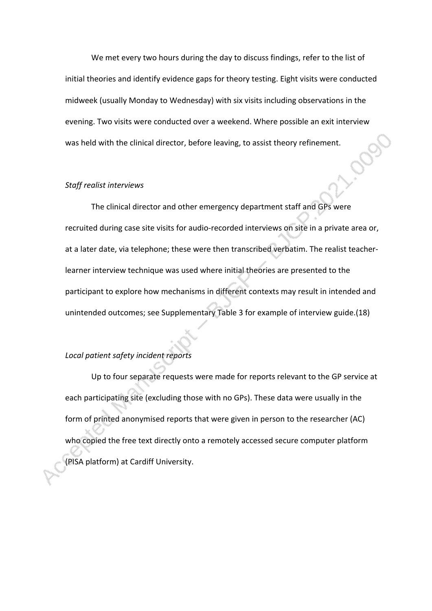We met every two hours during the day to discuss findings, refer to the list of initial theories and identify evidence gaps for theory testing. Eight visits were conducted midweek (usually Monday to Wednesday) with six visits including observations in the evening. Two visits were conducted over a weekend. Where possible an exit interview was held with the clinical director, before leaving, to assist theory refinement.

#### *Staff realist interviews*

The clinical director and other emergency department staff and GPs were recruited during case site visits for audio-recorded interviews on site in a private area or, at a later date, via telephone; these were then transcribed verbatim. The realist teacherlearner interview technique was used where initial theories are presented to the participant to explore how mechanisms in different contexts may result in intended and unintended outcomes; see Supplementary Table 3 for example of interview guide.(18)

## *Local patient safety incident reports*

Up to four separate requests were made for reports relevant to the GP service at each participating site (excluding those with no GPs). These data were usually in the form of printed anonymised reports that were given in person to the researcher (AC) who copied the free text directly onto a remotely accessed secure computer platform (PISA platform) at Cardiff University.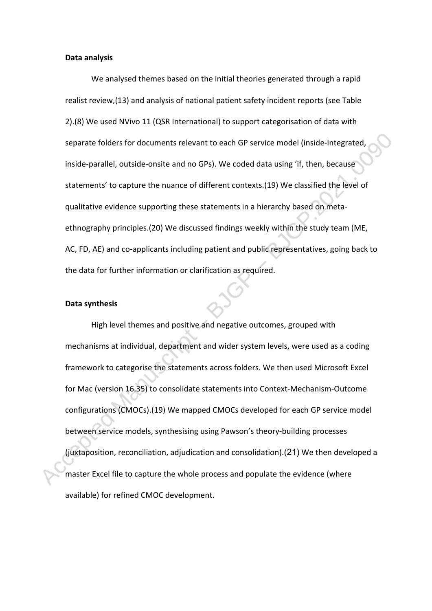#### **Data analysis**

We analysed themes based on the initial theories generated through a rapid realist review,(13) and analysis of national patient safety incident reports (see Table 2).(8) We used NVivo 11 (QSR International) to support categorisation of data with separate folders for documents relevant to each GP service model (inside-integrated, inside-parallel, outside-onsite and no GPs). We coded data using 'if, then, because statements' to capture the nuance of different contexts.(19) We classified the level of qualitative evidence supporting these statements in a hierarchy based on metaethnography principles.(20) We discussed findings weekly within the study team (ME, AC, FD, AE) and co-applicants including patient and public representatives, going back to the data for further information or clarification as required.

#### **Data synthesis**

High level themes and positive and negative outcomes, grouped with mechanisms at individual, department and wider system levels, were used as a coding framework to categorise the statements across folders. We then used Microsoft Excel for Mac (version 16.35) to consolidate statements into Context-Mechanism-Outcome configurations (CMOCs).(19) We mapped CMOCs developed for each GP service model between service models, synthesising using Pawson's theory-building processes (juxtaposition, reconciliation, adjudication and consolidation).(21) We then developed a master Excel file to capture the whole process and populate the evidence (where available) for refined CMOC development.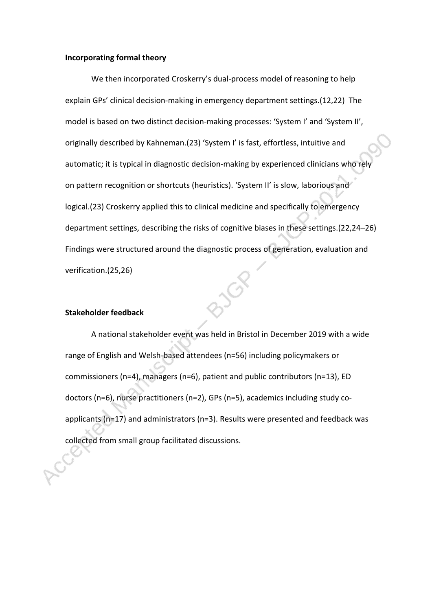#### **Incorporating formal theory**

We then incorporated Croskerry's dual-process model of reasoning to help explain GPs' clinical decision-making in emergency department settings.(12,22) The model is based on two distinct decision-making processes: 'System I' and 'System II', originally described by Kahneman.(23) 'System I' is fast, effortless, intuitive and automatic; it is typical in diagnostic decision-making by experienced clinicians who rel on pattern recognition or shortcuts (heuristics). 'System II' is slow, laborious and logical.(23) Croskerry applied this to clinical medicine and specifically to emergency department settings, describing the risks of cognitive biases in these settings.(22,24–26) Findings were structured around the diagnostic process of generation, evaluation and verification.(25,26)

#### **Stakeholder feedback**

A national stakeholder event was held in Bristol in December 2019 with a wide range of English and Welsh-based attendees (n=56) including policymakers or commissioners (n=4), managers (n=6), patient and public contributors (n=13), ED doctors (n=6), nurse practitioners (n=2), GPs (n=5), academics including study coapplicants (n=17) and administrators (n=3). Results were presented and feedback was collected from small group facilitated discussions.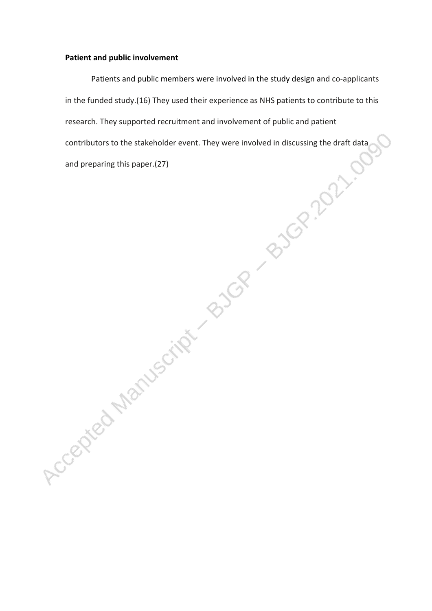## **Patient and public involvement**

Patients and public members were involved in the study design and co-applicants in the funded study.(16) They used their experience as NHS patients to contribute to this research. They supported recruitment and involvement of public and patient contributors to the stakeholder event. They were involved in discussing the draft data and preparing this paper.(27)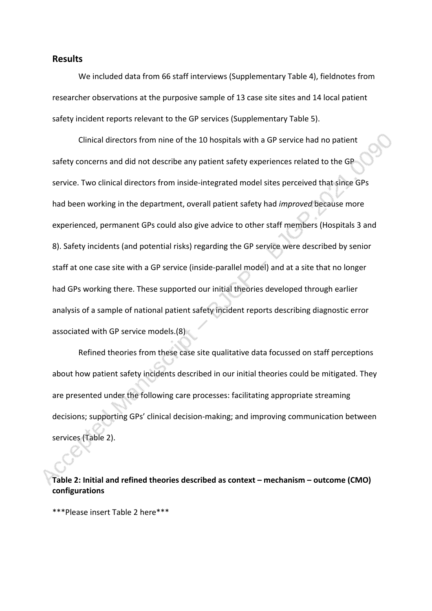#### **Results**

We included data from 66 staff interviews (Supplementary Table 4), fieldnotes from researcher observations at the purposive sample of 13 case site sites and 14 local patient safety incident reports relevant to the GP services (Supplementary Table 5).

Clinical directors from nine of the 10 hospitals with a GP service had no patient safety concerns and did not describe any patient safety experiences related to the GP service. Two clinical directors from inside-integrated model sites perceived that since GPs had been working in the department, overall patient safety had *improved* because more experienced, permanent GPs could also give advice to other staff members (Hospitals 3 and 8). Safety incidents (and potential risks) regarding the GP service were described by senior staff at one case site with a GP service (inside-parallel model) and at a site that no longer had GPs working there. These supported our initial theories developed through earlier analysis of a sample of national patient safety incident reports describing diagnostic error associated with GP service models.(8)

Refined theories from these case site qualitative data focussed on staff perceptions about how patient safety incidents described in our initial theories could be mitigated. They are presented under the following care processes: facilitating appropriate streaming decisions; supporting GPs' clinical decision-making; and improving communication between services (Table 2).

**Table 2: Initial and refined theories described as context – mechanism – outcome (CMO) configurations**

\*\*\*Please insert Table 2 here\*\*\*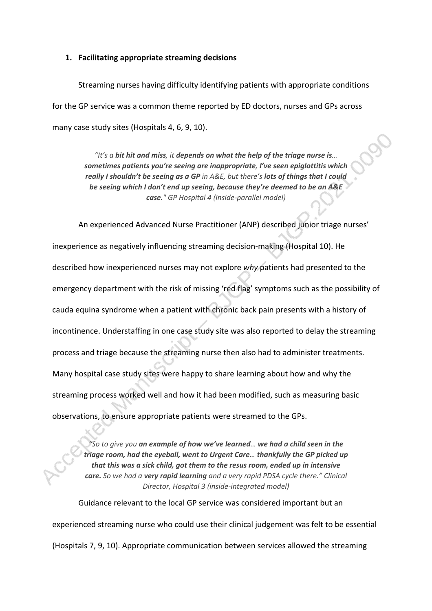#### **1. Facilitating appropriate streaming decisions**

Streaming nurses having difficulty identifying patients with appropriate conditions for the GP service was a common theme reported by ED doctors, nurses and GPs across many case study sites (Hospitals 4, 6, 9, 10).

> *"It's a bit hit and miss, it depends on what the help of the triage nurse is… sometimes patients you're seeing are inappropriate, I've seen epiglottitis which really I shouldn't be seeing as a GP in A&E, but there's lots of things that I could be seeing which I don't end up seeing, because they're deemed to be an A&E case." GP Hospital 4 (inside-parallel model)*

An experienced Advanced Nurse Practitioner (ANP) described junior triage nurses' inexperience as negatively influencing streaming decision-making (Hospital 10). He described how inexperienced nurses may not explore *why* patients had presented to the emergency department with the risk of missing 'red flag' symptoms such as the possibility of cauda equina syndrome when a patient with chronic back pain presents with a history of incontinence. Understaffing in one case study site was also reported to delay the streaming process and triage because the streaming nurse then also had to administer treatments. Many hospital case study sites were happy to share learning about how and why the streaming process worked well and how it had been modified, such as measuring basic observations, to ensure appropriate patients were streamed to the GPs.

*"So to give you an example of how we've learned… we had a child seen in the triage room, had the eyeball, went to Urgent Care… thankfully the GP picked up that this was a sick child, got them to the resus room, ended up in intensive care. So we had a very rapid learning and a very rapid PDSA cycle there." Clinical Director, Hospital 3 (inside-integrated model)*

Guidance relevant to the local GP service was considered important but an experienced streaming nurse who could use their clinical judgement was felt to be essential (Hospitals 7, 9, 10). Appropriate communication between services allowed the streaming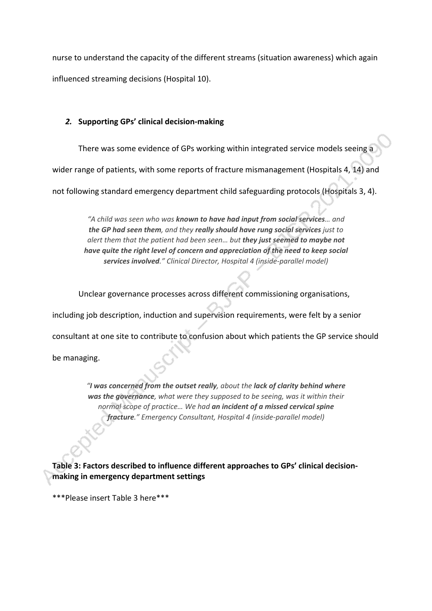nurse to understand the capacity of the different streams (situation awareness) which again influenced streaming decisions (Hospital 10).

## *2.* **Supporting GPs' clinical decision-making**

There was some evidence of GPs working within integrated service models seeing a

wider range of patients, with some reports of fracture mismanagement (Hospitals 4, 14) and

not following standard emergency department child safeguarding protocols (Hospitals 3, 4).

*"A child was seen who was known to have had input from social services… and the GP had seen them, and they really should have rung social services just to alert them that the patient had been seen… but they just seemed to maybe not have quite the right level of concern and appreciation of the need to keep social services involved." Clinical Director, Hospital 4 (inside-parallel model)*

Unclear governance processes across different commissioning organisations,

including job description, induction and supervision requirements, were felt by a senior

consultant at one site to contribute to confusion about which patients the GP service should

be managing.

*"I was concerned from the outset really, about the lack of clarity behind where was the governance, what were they supposed to be seeing, was it within their normal scope of practice… We had an incident of a missed cervical spine fracture." Emergency Consultant, Hospital 4 (inside-parallel model)*

**Table 3: Factors described to influence different approaches to GPs' clinical decisionmaking in emergency department settings**

\*\*\*Please insert Table 3 here\*\*\*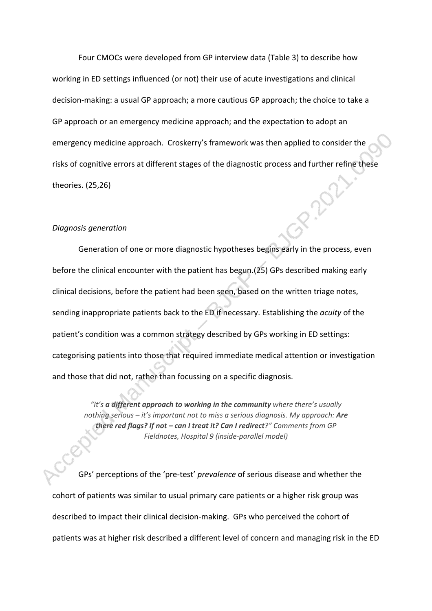Four CMOCs were developed from GP interview data (Table 3) to describe how working in ED settings influenced (or not) their use of acute investigations and clinical decision-making: a usual GP approach; a more cautious GP approach; the choice to take a GP approach or an emergency medicine approach; and the expectation to adopt an emergency medicine approach.Croskerry's framework was then applied to consider the risks of cognitive errors at different stages of the diagnostic process and further refine these theories. (25,26)

#### *Diagnosis generation*

Generation of one or more diagnostic hypotheses begins early in the process, even before the clinical encounter with the patient has begun.(25) GPs described making early clinical decisions, before the patient had been seen, based on the written triage notes, sending inappropriate patients back to the ED if necessary. Establishing the *acuity* of the patient's condition was a common strategy described by GPs working in ED settings: categorising patients into those that required immediate medical attention or investigation and those that did not, rather than focussing on a specific diagnosis.

*"It's a different approach to working in the community where there's usually nothing serious – it's important not to miss a serious diagnosis. My approach: Are there red flags? If not – can I treat it? Can I redirect?" Comments from GP Fieldnotes, Hospital 9 (inside-parallel model)*

GPs' perceptions of the 'pre-test' *prevalence* of serious disease and whether the cohort of patients was similar to usual primary care patients or a higher risk group was described to impact their clinical decision-making. GPs who perceived the cohort of patients was at higher risk described a different level of concern and managing risk in the ED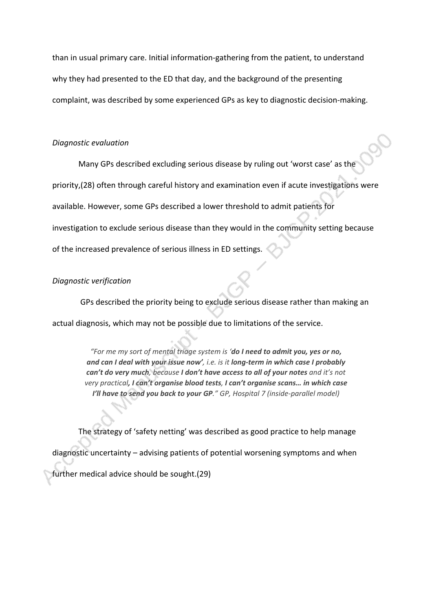than in usual primary care. Initial information-gathering from the patient, to understand why they had presented to the ED that day, and the background of the presenting complaint, was described by some experienced GPs as key to diagnostic decision-making.

#### *Diagnostic evaluation*

Many GPs described excluding serious disease by ruling out 'worst case' as the priority,(28) often through careful history and examination even if acute investigations were available. However, some GPs described a lower threshold to admit patients for investigation to exclude serious disease than they would in the community setting because of the increased prevalence of serious illness in ED settings.

#### *Diagnostic verification*

 GPs described the priority being to exclude serious disease rather than making an actual diagnosis, which may not be possible due to limitations of the service.

> *"For me my sort of mental triage system is 'do I need to admit you, yes or no, and can I deal with your issue now', i.e. is it long-term in which case I probably can't do very much, because I don't have access to all of your notes and it's not very practical, I can't organise blood tests, I can't organise scans… in which case I'll have to send you back to your GP." GP, Hospital 7 (inside-parallel model)*

The strategy of 'safety netting' was described as good practice to help manage diagnostic uncertainty – advising patients of potential worsening symptoms and when further medical advice should be sought.(29)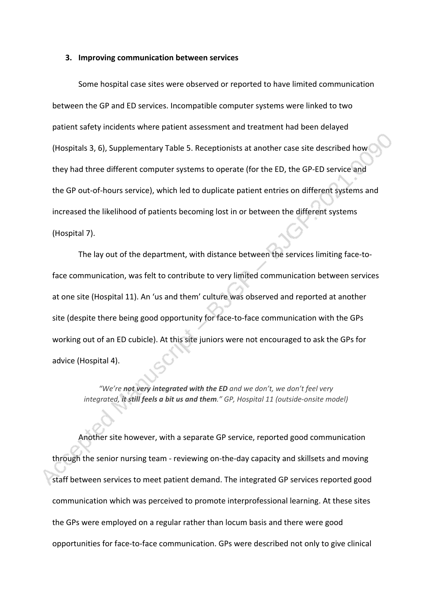#### **3. Improving communication between services**

Some hospital case sites were observed or reported to have limited communication between the GP and ED services. Incompatible computer systems were linked to two patient safety incidents where patient assessment and treatment had been delayed (Hospitals 3, 6), Supplementary Table 5. Receptionists at another case site described how they had three different computer systems to operate (for the ED, the GP-ED service and the GP out-of-hours service), which led to duplicate patient entries on different systems and increased the likelihood of patients becoming lost in or between the different systems (Hospital 7).

The lay out of the department, with distance between the services limiting face-toface communication, was felt to contribute to very limited communication between services at one site (Hospital 11). An 'us and them' culture was observed and reported at another site (despite there being good opportunity for face-to-face communication with the GPs working out of an ED cubicle). At this site juniors were not encouraged to ask the GPs for advice (Hospital 4).

*"We're not very integrated with the ED and we don't, we don't feel very integrated, it still feels a bit us and them." GP, Hospital 11 (outside-onsite model)*

Another site however, with a separate GP service, reported good communication through the senior nursing team - reviewing on-the-day capacity and skillsets and moving staff between services to meet patient demand. The integrated GP services reported good communication which was perceived to promote interprofessional learning. At these sites the GPs were employed on a regular rather than locum basis and there were good opportunities for face-to-face communication. GPs were described not only to give clinical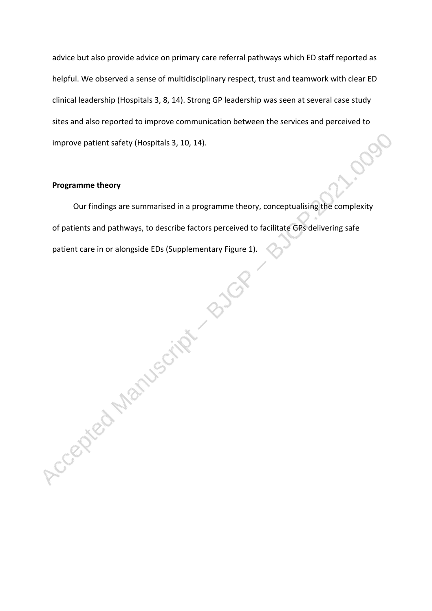advice but also provide advice on primary care referral pathways which ED staff reported as helpful. We observed a sense of multidisciplinary respect, trust and teamwork with clear ED clinical leadership (Hospitals 3, 8, 14). Strong GP leadership was seen at several case study sites and also reported to improve communication between the services and perceived to 0000 improve patient safety (Hospitals 3, 10, 14).

#### **Programme theory**

Our findings are summarised in a programme theory, conceptualising the complexity of patients and pathways, to describe factors perceived to facilitate GPs delivering safe patient care in or alongside EDs (Supplementary Figure 1).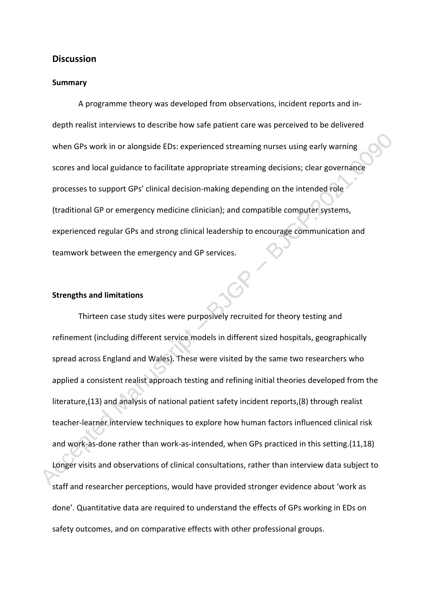#### **Discussion**

#### **Summary**

A programme theory was developed from observations, incident reports and indepth realist interviews to describe how safe patient care was perceived to be delivered when GPs work in or alongside EDs: experienced streaming nurses using early warning scores and local guidance to facilitate appropriate streaming decisions; clear governance processes to support GPs' clinical decision-making depending on the intended role (traditional GP or emergency medicine clinician); and compatible computer systems, experienced regular GPs and strong clinical leadership to encourage communication and teamwork between the emergency and GP services.

## **Strengths and limitations**

Thirteen case study sites were purposively recruited for theory testing and refinement (including different service models in different sized hospitals, geographically spread across England and Wales). These were visited by the same two researchers who applied a consistent realist approach testing and refining initial theories developed from the literature,(13) and analysis of national patient safety incident reports,(8) through realist teacher-learner interview techniques to explore how human factors influenced clinical risk and work-as-done rather than work-as-intended, when GPs practiced in this setting.(11,18) Longer visits and observations of clinical consultations, rather than interview data subject to staff and researcher perceptions, would have provided stronger evidence about 'work as done'. Quantitative data are required to understand the effects of GPs working in EDs on safety outcomes, and on comparative effects with other professional groups.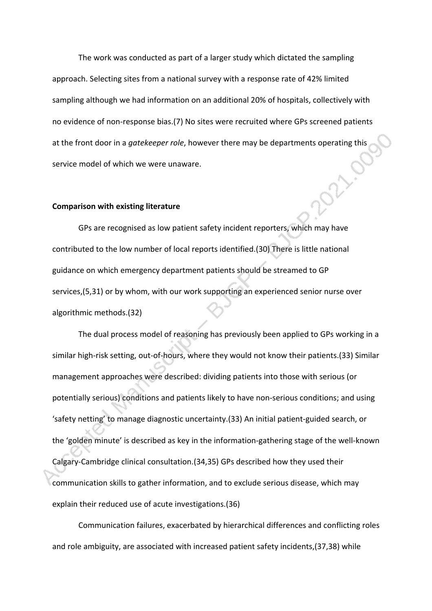The work was conducted as part of a larger study which dictated the sampling approach. Selecting sites from a national survey with a response rate of 42% limited sampling although we had information on an additional 20% of hospitals, collectively with no evidence of non-response bias.(7) No sites were recruited where GPs screened patients at the front door in a *gatekeeper role*, however there may be departments operating this<br>service model of which we were unaware. service model of which we were unaware.

#### **Comparison with existing literature**

GPs are recognised as low patient safety incident reporters, which may have contributed to the low number of local reports identified.(30) There is little national guidance on which emergency department patients should be streamed to GP services,(5,31) or by whom, with our work supporting an experienced senior nurse over algorithmic methods.(32)

The dual process model of reasoning has previously been applied to GPs working in a similar high-risk setting, out-of-hours, where they would not know their patients.(33) Similar management approaches were described: dividing patients into those with serious (or potentially serious) conditions and patients likely to have non-serious conditions; and using 'safety netting' to manage diagnostic uncertainty.(33) An initial patient-guided search, or the 'golden minute' is described as key in the information-gathering stage of the well-known Calgary-Cambridge clinical consultation.(34,35) GPs described how they used their communication skills to gather information, and to exclude serious disease, which may explain their reduced use of acute investigations.(36)

Communication failures, exacerbated by hierarchical differences and conflicting roles and role ambiguity, are associated with increased patient safety incidents,(37,38) while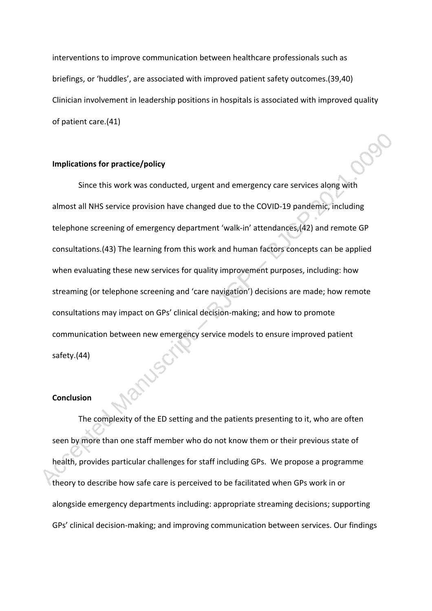interventions to improve communication between healthcare professionals such as briefings, or 'huddles', are associated with improved patient safety outcomes.(39,40) Clinician involvement in leadership positions in hospitals is associated with improved quality of patient care.(41)

#### **Implications for practice/policy**

Since this work was conducted, urgent and emergency care services along with almost all NHS service provision have changed due to the COVID-19 pandemic, including telephone screening of emergency department 'walk-in' attendances,(42) and remote GP consultations.(43) The learning from this work and human factors concepts can be applied when evaluating these new services for quality improvement purposes, including: how streaming (or telephone screening and 'care navigation') decisions are made; how remote consultations may impact on GPs' clinical decision-making; and how to promote communication between new emergency service models to ensure improved patient safety.(44)

#### **Conclusion**

The complexity of the ED setting and the patients presenting to it, who are often seen by more than one staff member who do not know them or their previous state of health, provides particular challenges for staff including GPs. We propose a programme theory to describe how safe care is perceived to be facilitated when GPs work in or alongside emergency departments including: appropriate streaming decisions; supporting GPs' clinical decision-making; and improving communication between services. Our findings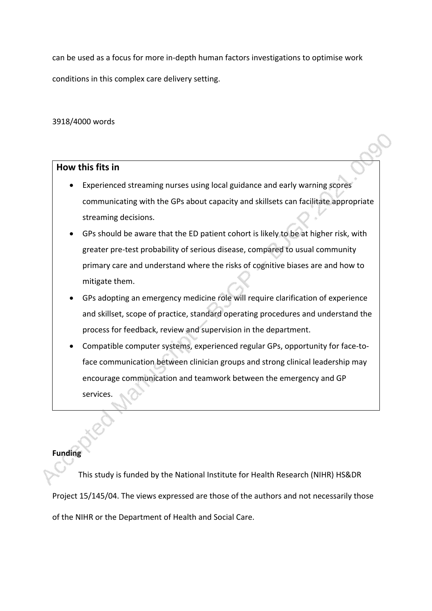can be used as a focus for more in-depth human factors investigations to optimise work conditions in this complex care delivery setting.

3918/4000 words

## **How this fits in**

- Experienced streaming nurses using local guidance and early warning scores communicating with the GPs about capacity and skillsets can facilitate appropriate streaming decisions.
- GPs should be aware that the ED patient cohort is likely to be at higher risk, with greater pre-test probability of serious disease, compared to usual community primary care and understand where the risks of cognitive biases are and how to mitigate them.
- GPs adopting an emergency medicine role will require clarification of experience and skillset, scope of practice, standard operating procedures and understand the process for feedback, review and supervision in the department.
- Compatible computer systems, experienced regular GPs, opportunity for face-toface communication between clinician groups and strong clinical leadership may encourage communication and teamwork between the emergency and GP services.

## **Funding**

This study is funded by the National Institute for Health Research (NIHR) HS&DR Project 15/145/04. The views expressed are those of the authors and not necessarily those of the NIHR or the Department of Health and Social Care.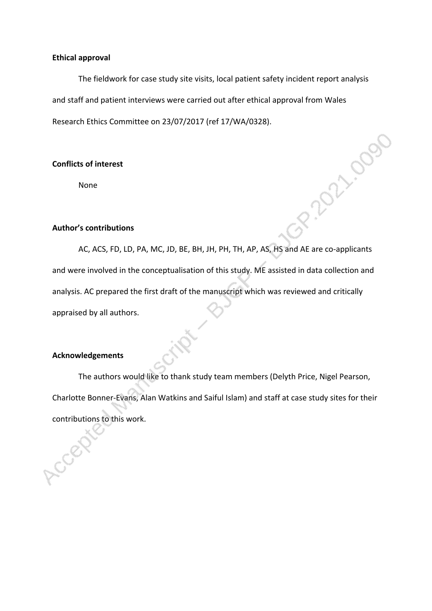#### **Ethical approval**

The fieldwork for case study site visits, local patient safety incident report analysis and staff and patient interviews were carried out after ethical approval from Wales Research Ethics Committee on 23/07/2017 (ref 17/WA/0328).

2.2021-0095

## **Conflicts of interest**

None

#### **Author's contributions**

AC, ACS, FD, LD, PA, MC, JD, BE, BH, JH, PH, TH, AP, AS, HS and AE are co-applicants and were involved in the conceptualisation of this study. ME assisted in data collection and analysis. AC prepared the first draft of the manuscript which was reviewed and critically appraised by all authors.

## **Acknowledgements**

The authors would like to thank study team members (Delyth Price, Nigel Pearson, Charlotte Bonner-Evans, Alan Watkins and Saiful Islam) and staff at case study sites for their contributions to this work.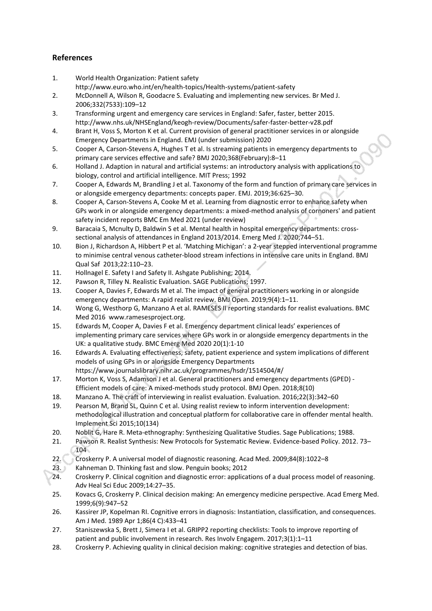## **References**

- 1. World Health Organization: Patient safety
	- http://www.euro.who.int/en/health-topics/Health-systems/patient-safety
- 2. McDonnell A, Wilson R, Goodacre S. Evaluating and implementing new services. Br Med J. 2006;332(7533):109–12
- 3. Transforming urgent and emergency care services in England: Safer, faster, better 2015. http://www.nhs.uk/NHSEngland/keogh-review/Documents/safer-faster-better-v28.pdf
- 4. Brant H, Voss S, Morton K et al. Current provision of general practitioner services in or alongside Emergency Departments in England. EMJ (under submission) 2020
- 5. Cooper A, Carson-Stevens A, Hughes T et al. Is streaming patients in emergency departments to primary care services effective and safe? BMJ 2020;368(February):8–11
- 6. Holland J. Adaption in natural and artificial systems: an introductory analysis with applications to biology, control and artificial intelligence. MIT Press; 1992
- 7. Cooper A, Edwards M, Brandling J et al. Taxonomy of the form and function of primary care services in or alongside emergency departments: concepts paper. EMJ. 2019;36:625–30.
- 8. Cooper A, Carson-Stevens A, Cooke M et al. Learning from diagnostic error to enhance safety when GPs work in or alongside emergency departments: a mixed-method analysis of cornoners' and patient safety incident reports BMC Em Med 2021 (under review)
- 9. Baracaia S, Mcnulty D, Baldwin S et al. Mental health in hospital emergency departments: crosssectional analysis of attendances in England 2013/2014. Emerg Med J. 2020;744–51.
- 10. Bion J, Richardson A, Hibbert P et al. 'Matching Michigan': a 2-year stepped interventional programme to minimise central venous catheter-blood stream infections in intensive care units in England. BMJ Qual Saf 2013;22:110–23.
- 11. Hollnagel E. Safety I and Safety II. Ashgate Publishing; 2014.
- 12. Pawson R, Tilley N. Realistic Evaluation. SAGE Publications; 1997.
- 13. Cooper A, Davies F, Edwards M et al. The impact of general practitioners working in or alongside emergency departments: A rapid realist review. BMJ Open. 2019;9(4):1–11.
- 14. Wong G, Westhorp G, Manzano A et al. RAMESES II reporting standards for realist evaluations. BMC Med 2016 www.ramesesproject.org.
- 15. Edwards M, Cooper A, Davies F et al. Emergency department clinical leads' experiences of implementing primary care services where GPs work in or alongside emergency departments in the UK: a qualitative study. BMC Emerg Med 2020 20(1):1-10
- 16. Edwards A. Evaluating effectiveness, safety, patient experience and system implications of different models of using GPs in or alongside Emergency Departments https://www.journalslibrary.nihr.ac.uk/programmes/hsdr/1514504/#/
- 17. Morton K, Voss S, Adamson J et al. General practitioners and emergency departments (GPED) Efficient models of care: A mixed-methods study protocol. BMJ Open. 2018;8(10)
- 18. Manzano A. The craft of interviewing in realist evaluation. Evaluation. 2016;22(3):342–60
- 19. Pearson M, Brand SL, Quinn C et al. Using realist review to inform intervention development: methodological illustration and conceptual platform for collaborative care in offender mental health. Implement Sci 2015;10(134)
- 20. Noblit G, Hare R. Meta-ethnography: Synthesizing Qualitative Studies. Sage Publications; 1988.
- 21. Pawson R. Realist Synthesis: New Protocols for Systematic Review. Evidence-based Policy. 2012. 73– 104
- 22. Croskerry P. A universal model of diagnostic reasoning. Acad Med. 2009;84(8):1022–8
- 23. Kahneman D. Thinking fast and slow. Penguin books; 2012
- 24. Croskerry P. Clinical cognition and diagnostic error: applications of a dual process model of reasoning. Adv Heal Sci Educ 2009;14:27–35.
- 25. Kovacs G, Croskerry P. Clinical decision making: An emergency medicine perspective. Acad Emerg Med. 1999;6(9):947–52
- 26. Kassirer JP, Kopelman RI. Cognitive errors in diagnosis: Instantiation, classification, and consequences. Am J Med. 1989 Apr 1;86(4 C):433–41
- 27. Staniszewska S, Brett J, Simera I et al. GRIPP2 reporting checklists: Tools to improve reporting of patient and public involvement in research. Res Involv Engagem. 2017;3(1):1–11
- 28. Croskerry P. Achieving quality in clinical decision making: cognitive strategies and detection of bias.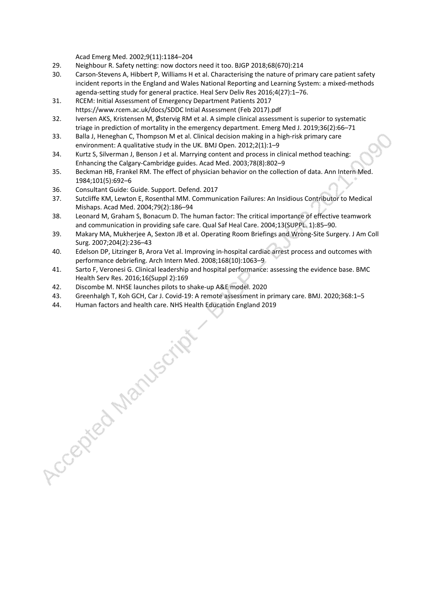Acad Emerg Med. 2002;9(11):1184–204

- 29. Neighbour R. Safety netting: now doctors need it too. BJGP 2018;68(670):214
- 30. Carson-Stevens A, Hibbert P, Williams H et al. Characterising the nature of primary care patient safety incident reports in the England and Wales National Reporting and Learning System: a mixed-methods agenda-setting study for general practice. Heal Serv Deliv Res 2016;4(27):1–76.
- 31. RCEM: Initial Assessment of Emergency Department Patients 2017 https://www.rcem.ac.uk/docs/SDDC Intial Assessment (Feb 2017).pdf
- 32. Iversen AKS, Kristensen M, Østervig RM et al. A simple clinical assessment is superior to systematic triage in prediction of mortality in the emergency department. Emerg Med J. 2019;36(2):66–71
- 33. Balla J, Heneghan C, Thompson M et al. Clinical decision making in a high-risk primary care environment: A qualitative study in the UK. BMJ Open. 2012;2(1):1–9
- 34. Kurtz S, Silverman J, Benson J et al. Marrying content and process in clinical method teaching: Enhancing the Calgary-Cambridge guides. Acad Med. 2003;78(8):802–9
- 35. Beckman HB, Frankel RM. The effect of physician behavior on the collection of data. Ann Intern Med. 1984;101(5):692–6
- 36. Consultant Guide: Guide. Support. Defend. 2017
- 37. Sutcliffe KM, Lewton E, Rosenthal MM. Communication Failures: An Insidious Contributor to Medical Mishaps. Acad Med. 2004;79(2):186–94
- 38. Leonard M, Graham S, Bonacum D. The human factor: The critical importance of effective teamwork and communication in providing safe care. Qual Saf Heal Care. 2004;13(SUPPL. 1):85–90.
- 39. Makary MA, Mukherjee A, Sexton JB et al. Operating Room Briefings and Wrong-Site Surgery. J Am Coll Surg. 2007;204(2):236–43
- 40. Edelson DP, Litzinger B, Arora Vet al. Improving in-hospital cardiac arrest process and outcomes with performance debriefing. Arch Intern Med. 2008;168(10):1063–9
- 41. Sarto F, Veronesi G. Clinical leadership and hospital performance: assessing the evidence base. BMC Health Serv Res. 2016;16(Suppl 2):169
- 42. Discombe M. NHSE launches pilots to shake-up A&E model. 2020
- 43. Greenhalgh T, Koh GCH, Car J. Covid-19: A remote assessment in primary care. BMJ. 2020;368:1–5
- 

44. Human factors and health care. NHS Health Education England 2019<br>  $\begin{pmatrix} 1 & 1 & 1 \\ 0 & 1 & 1 \end{pmatrix}$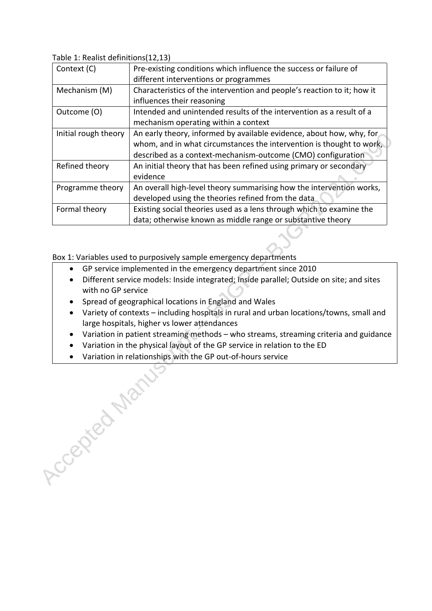Table 1: Realist definitions(12,13)

Accepted Marys

| Context (C)          | Pre-existing conditions which influence the success or failure of       |  |  |  |
|----------------------|-------------------------------------------------------------------------|--|--|--|
|                      | different interventions or programmes                                   |  |  |  |
| Mechanism (M)        | Characteristics of the intervention and people's reaction to it; how it |  |  |  |
|                      | influences their reasoning                                              |  |  |  |
| Outcome (O)          | Intended and unintended results of the intervention as a result of a    |  |  |  |
|                      | mechanism operating within a context                                    |  |  |  |
| Initial rough theory | An early theory, informed by available evidence, about how, why, for    |  |  |  |
|                      | whom, and in what circumstances the intervention is thought to work,    |  |  |  |
|                      | described as a context-mechanism-outcome (CMO) configuration            |  |  |  |
| Refined theory       | An initial theory that has been refined using primary or secondary      |  |  |  |
|                      | evidence                                                                |  |  |  |
| Programme theory     | An overall high-level theory summarising how the intervention works,    |  |  |  |
|                      | developed using the theories refined from the data                      |  |  |  |
| Formal theory        | Existing social theories used as a lens through which to examine the    |  |  |  |
|                      | data; otherwise known as middle range or substantive theory             |  |  |  |

Box 1: Variables used to purposively sample emergency departments

- GP service implemented in the emergency department since 2010
- Different service models: Inside integrated; Inside parallel; Outside on site; and sites with no GP service
- Spread of geographical locations in England and Wales
- Variety of contexts including hospitals in rural and urban locations/towns, small and large hospitals, higher vs lower attendances
- Variation in patient streaming methods who streams, streaming criteria and guidance
- Variation in the physical layout of the GP service in relation to the ED
- Variation in relationships with the GP out-of-hours service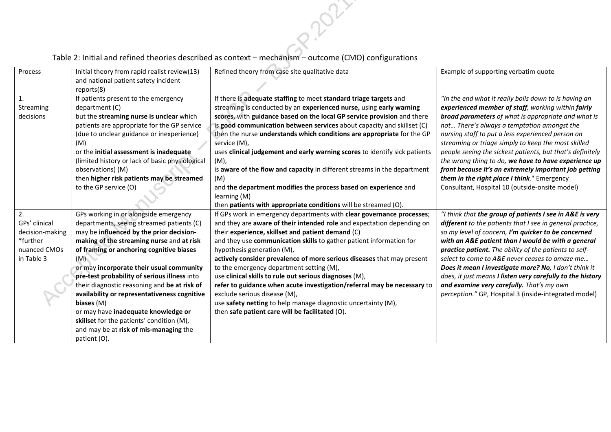| Process         | Initial theory from rapid realist review(13)    | Refined theory from case site qualitative data                             | Example of supporting verbatim quote                       |
|-----------------|-------------------------------------------------|----------------------------------------------------------------------------|------------------------------------------------------------|
|                 | and national patient safety incident            |                                                                            |                                                            |
|                 | reports(8)                                      |                                                                            |                                                            |
| 1.              | If patients present to the emergency            | If there is adequate staffing to meet standard triage targets and          | "In the end what it really boils down to is having an      |
| Streaming       | department (C)                                  | streaming is conducted by an experienced nurse, using early warning        | experienced member of staff, working within fairly         |
| decisions       | but the streaming nurse is unclear which        | scores, with guidance based on the local GP service provision and there    | broad parameters of what is appropriate and what is        |
|                 | patients are appropriate for the GP service     | is good communication between services about capacity and skillset (C)     | not There's always a temptation amongst the                |
|                 | (due to unclear guidance or inexperience)       | then the nurse understands which conditions are appropriate for the GP     | nursing staff to put a less experienced person on          |
|                 | (M)                                             | service (M),                                                               | streaming or triage simply to keep the most skilled        |
|                 | or the initial assessment is inadequate         | uses clinical judgement and early warning scores to identify sick patients | people seeing the sickest patients, but that's definitely  |
|                 | (limited history or lack of basic physiological | (M),                                                                       | the wrong thing to do, we have to have experience up       |
|                 | observations) (M)                               | is aware of the flow and capacity in different streams in the department   | front because it's an extremely important job getting      |
|                 | then higher risk patients may be streamed       | (M)                                                                        | them in the right place I think." Emergency                |
|                 | to the GP service (O)                           | and the department modifies the process based on experience and            | Consultant, Hospital 10 (outside-onsite model)             |
|                 |                                                 | learning (M)                                                               |                                                            |
|                 |                                                 | then patients with appropriate conditions will be streamed (O).            |                                                            |
| 2.              | GPs working in or alongside emergency           | If GPs work in emergency departments with clear governance processes;      | "I think that the group of patients I see in A&E is very   |
| GPs' clinical   | departments, seeing streamed patients (C)       | and they are aware of their intended role and expectation depending on     | different to the patients that I see in general practice,  |
| decision-making | may be influenced by the prior decision-        | their experience, skillset and patient demand (C)                          | so my level of concern, I'm quicker to be concerned        |
| *further        | making of the streaming nurse and at risk       | and they use communication skills to gather patient information for        | with an A&E patient than I would be with a general         |
| nuanced CMOs    | of framing or anchoring cognitive biases        | hypothesis generation (M),                                                 | practice patient. The ability of the patients to self-     |
| in Table 3      | (M)                                             | actively consider prevalence of more serious diseases that may present     | select to come to A&E never ceases to amaze me             |
|                 | or may incorporate their usual community        | to the emergency department setting (M),                                   | Does it mean I investigate more? No, I don't think it      |
|                 | pre-test probability of serious illness into    | use clinical skills to rule out serious diagnoses (M),                     | does, it just means I listen very carefully to the history |
|                 | their diagnostic reasoning and be at risk of    | refer to guidance when acute investigation/referral may be necessary to    | and examine very carefully. That's my own                  |
|                 | availability or representativeness cognitive    | exclude serious disease (M),                                               | perception." GP, Hospital 3 (inside-integrated model)      |
|                 | biases (M)                                      | use safety netting to help manage diagnostic uncertainty (M),              |                                                            |
|                 | or may have inadequate knowledge or             | then safe patient care will be facilitated (O).                            |                                                            |
|                 | skillset for the patients' condition (M),       |                                                                            |                                                            |
|                 | and may be at risk of mis-managing the          |                                                                            |                                                            |
|                 | patient (O).                                    |                                                                            |                                                            |

Proze

## Table 2: Initial and refined theories described as context – mechanism – outcome (CMO) configurations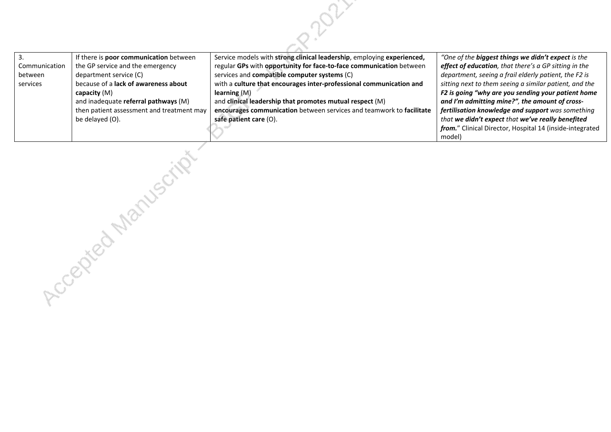|               | If there is <b>poor communication</b> between | Service models with strong clinical leadership, employing experienced, | "One of the <b>biggest things we didn't expect</b> is the |
|---------------|-----------------------------------------------|------------------------------------------------------------------------|-----------------------------------------------------------|
| Communication | the GP service and the emergency              | regular GPs with opportunity for face-to-face communication between    | effect of education, that there's a GP sitting in the     |
| between       | department service (C)                        | services and <b>compatible computer systems</b> (C)                    | department, seeing a frail elderly patient, the F2 is     |
| services      | because of a lack of awareness about          | with a culture that encourages inter-professional communication and    | sitting next to them seeing a similar patient, and the    |
|               | capacity $(M)$                                | learning $(M)$                                                         | F2 is going "why are you sending your patient home        |
|               | and inadequate referral pathways (M)          | and clinical leadership that promotes mutual respect $(M)$             | and I'm admitting mine?", the amount of cross-            |
|               | then patient assessment and treatment may     | encourages communication between services and teamwork to facilitate   | fertilisation knowledge and support was something         |
|               | be delayed (O).                               | safe patient care (O).                                                 | that we didn't expect that we've really benefited         |
|               |                                               |                                                                        | from." Clinical Director, Hospital 14 (inside-integrated  |
|               |                                               |                                                                        | model)                                                    |